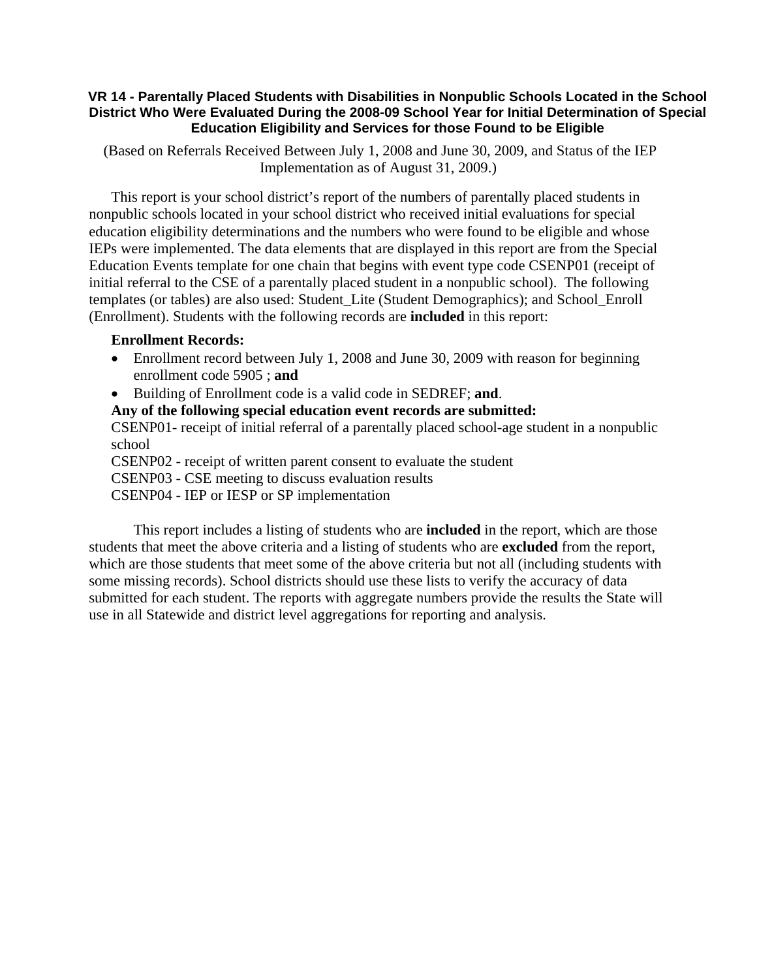## **VR 14 - Parentally Placed Students with Disabilities in Nonpublic Schools Located in the School District Who Were Evaluated During the 2008-09 School Year for Initial Determination of Special Education Eligibility and Services for those Found to be Eligible**

 (Based on Referrals Received Between July 1, 2008 and June 30, 2009, and Status of the IEP Implementation as of August 31, 2009.)

This report is your school district's report of the numbers of parentally placed students in nonpublic schools located in your school district who received initial evaluations for special education eligibility determinations and the numbers who were found to be eligible and whose IEPs were implemented. The data elements that are displayed in this report are from the Special Education Events template for one chain that begins with event type code CSENP01 (receipt of initial referral to the CSE of a parentally placed student in a nonpublic school). The following templates (or tables) are also used: Student\_Lite (Student Demographics); and School\_Enroll (Enrollment). Students with the following records are **included** in this report:

## **Enrollment Records:**

- Enrollment record between July 1, 2008 and June 30, 2009 with reason for beginning enrollment code 5905 ; **and**
- Building of Enrollment code is a valid code in SEDREF; **and**.

**Any of the following special education event records are submitted:** 

CSENP01- receipt of initial referral of a parentally placed school-age student in a nonpublic school

CSENP02 - receipt of written parent consent to evaluate the student

CSENP03 - CSE meeting to discuss evaluation results

CSENP04 - IEP or IESP or SP implementation

 This report includes a listing of students who are **included** in the report, which are those students that meet the above criteria and a listing of students who are **excluded** from the report, which are those students that meet some of the above criteria but not all (including students with some missing records). School districts should use these lists to verify the accuracy of data submitted for each student. The reports with aggregate numbers provide the results the State will use in all Statewide and district level aggregations for reporting and analysis.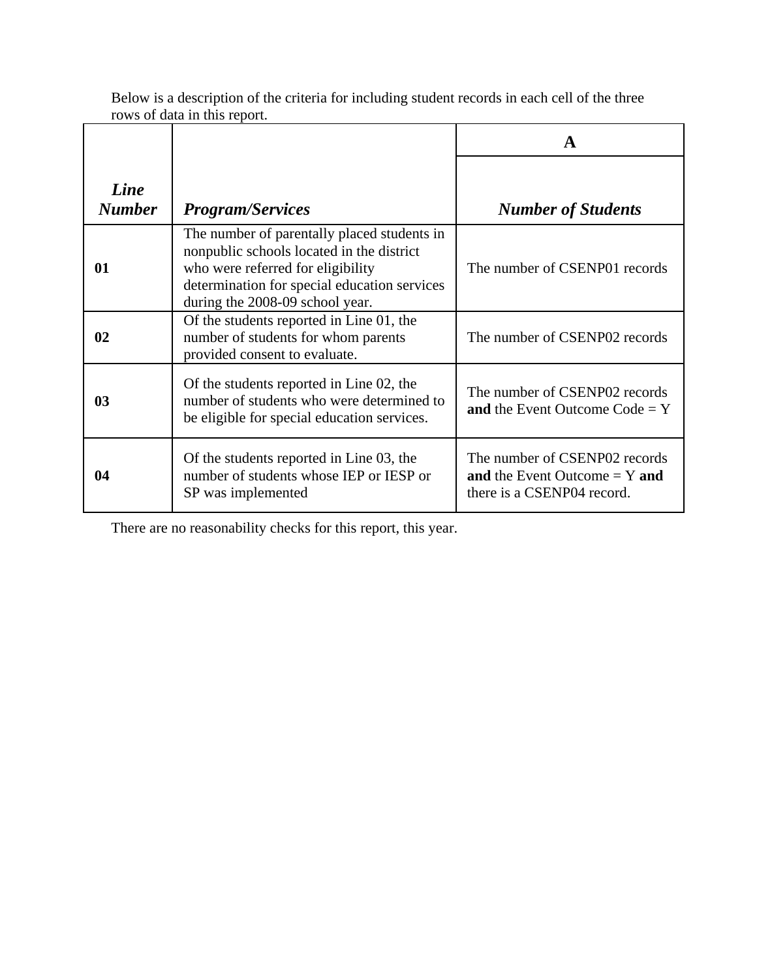|                       |                                                                                                                                                                                                                  | A                                                                                              |
|-----------------------|------------------------------------------------------------------------------------------------------------------------------------------------------------------------------------------------------------------|------------------------------------------------------------------------------------------------|
| Line<br><b>Number</b> | <b>Program/Services</b>                                                                                                                                                                                          | <b>Number of Students</b>                                                                      |
| 01                    | The number of parentally placed students in<br>nonpublic schools located in the district<br>who were referred for eligibility<br>determination for special education services<br>during the 2008-09 school year. | The number of CSENP01 records                                                                  |
| 02                    | Of the students reported in Line 01, the<br>number of students for whom parents<br>provided consent to evaluate.                                                                                                 | The number of CSENP02 records                                                                  |
| 03                    | Of the students reported in Line 02, the<br>number of students who were determined to<br>be eligible for special education services.                                                                             | The number of CSENP02 records<br>and the Event Outcome Code = $Y$                              |
| 04                    | Of the students reported in Line 03, the<br>number of students whose IEP or IESP or<br>SP was implemented                                                                                                        | The number of CSENP02 records<br>and the Event Outcome $= Y$ and<br>there is a CSENP04 record. |

Below is a description of the criteria for including student records in each cell of the three rows of data in this report.

There are no reasonability checks for this report, this year.